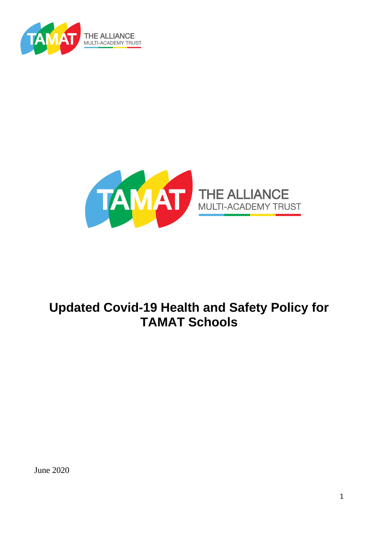



# **Updated Covid-19 Health and Safety Policy for TAMAT Schools**

June 2020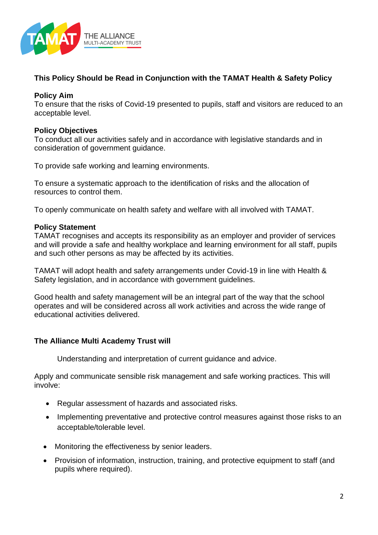

## **This Policy Should be Read in Conjunction with the TAMAT Health & Safety Policy**

### **Policy Aim**

To ensure that the risks of Covid-19 presented to pupils, staff and visitors are reduced to an acceptable level.

#### **Policy Objectives**

To conduct all our activities safely and in accordance with legislative standards and in consideration of government guidance.

To provide safe working and learning environments.

To ensure a systematic approach to the identification of risks and the allocation of resources to control them.

To openly communicate on health safety and welfare with all involved with TAMAT.

#### **Policy Statement**

TAMAT recognises and accepts its responsibility as an employer and provider of services and will provide a safe and healthy workplace and learning environment for all staff, pupils and such other persons as may be affected by its activities.

TAMAT will adopt health and safety arrangements under Covid-19 in line with Health & Safety legislation, and in accordance with government guidelines.

Good health and safety management will be an integral part of the way that the school operates and will be considered across all work activities and across the wide range of educational activities delivered.

#### **The Alliance Multi Academy Trust will**

Understanding and interpretation of current guidance and advice.

Apply and communicate sensible risk management and safe working practices. This will involve:

- Regular assessment of hazards and associated risks.
- Implementing preventative and protective control measures against those risks to an acceptable/tolerable level.
- Monitoring the effectiveness by senior leaders.
- Provision of information, instruction, training, and protective equipment to staff (and pupils where required).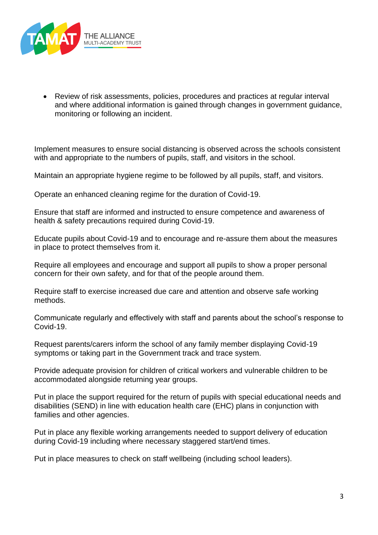

• Review of risk assessments, policies, procedures and practices at regular interval and where additional information is gained through changes in government guidance, monitoring or following an incident.

Implement measures to ensure social distancing is observed across the schools consistent with and appropriate to the numbers of pupils, staff, and visitors in the school.

Maintain an appropriate hygiene regime to be followed by all pupils, staff, and visitors.

Operate an enhanced cleaning regime for the duration of Covid-19.

Ensure that staff are informed and instructed to ensure competence and awareness of health & safety precautions required during Covid-19.

Educate pupils about Covid-19 and to encourage and re-assure them about the measures in place to protect themselves from it.

Require all employees and encourage and support all pupils to show a proper personal concern for their own safety, and for that of the people around them.

Require staff to exercise increased due care and attention and observe safe working methods.

Communicate regularly and effectively with staff and parents about the school's response to Covid-19.

Request parents/carers inform the school of any family member displaying Covid-19 symptoms or taking part in the Government track and trace system.

Provide adequate provision for children of critical workers and vulnerable children to be accommodated alongside returning year groups.

Put in place the support required for the return of pupils with special educational needs and disabilities (SEND) in line with education health care (EHC) plans in conjunction with families and other agencies.

Put in place any flexible working arrangements needed to support delivery of education during Covid-19 including where necessary staggered start/end times.

Put in place measures to check on staff wellbeing (including school leaders).